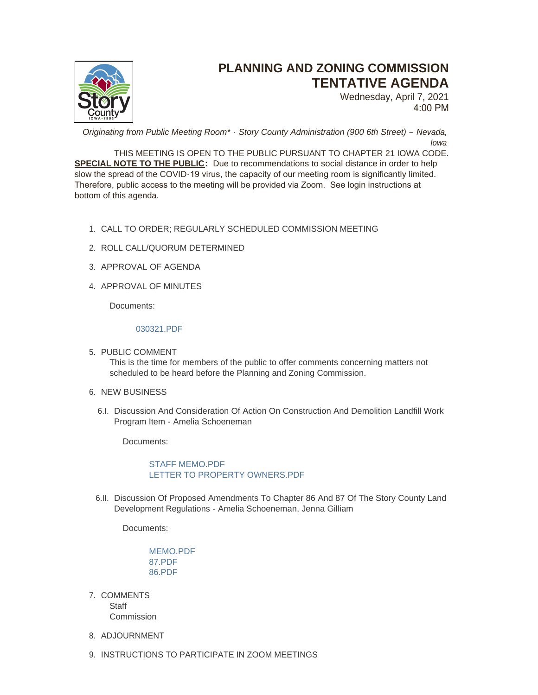

# **PLANNING AND ZONING COMMISSION TENTATIVE AGENDA**

Wednesday, April 7, 2021 4:00 PM

*Originating from Public Meeting Room\* - Story County Administration (900 6th Street) – Nevada, Iowa*

THIS MEETING IS OPEN TO THE PUBLIC PURSUANT TO CHAPTER 21 IOWA CODE. **SPECIAL NOTE TO THE PUBLIC:** Due to recommendations to social distance in order to help slow the spread of the COVID-19 virus, the capacity of our meeting room is significantly limited. Therefore, public access to the meeting will be provided via Zoom. See login instructions at bottom of this agenda.

- CALL TO ORDER; REGULARLY SCHEDULED COMMISSION MEETING 1.
- 2. ROLL CALL/QUORUM DETERMINED
- 3. APPROVAL OF AGENDA
- 4. APPROVAL OF MINUTES

Documents:

## [030321.PDF](http://www.storycountyiowa.gov/AgendaCenter/ViewFile/Item/20747?fileID=15733)

- 5. PUBLIC COMMENT This is the time for members of the public to offer comments concerning matters not scheduled to be heard before the Planning and Zoning Commission.
- 6. NEW BUSINESS
	- 6.I. Discussion And Consideration Of Action On Construction And Demolition Landfill Work Program Item - Amelia Schoeneman

Documents:

[STAFF MEMO.PDF](http://www.storycountyiowa.gov/AgendaCenter/ViewFile/Item/20752?fileID=15742) [LETTER TO PROPERTY OWNERS.PDF](http://www.storycountyiowa.gov/AgendaCenter/ViewFile/Item/20752?fileID=15743)

6.II. Discussion Of Proposed Amendments To Chapter 86 And 87 Of The Story County Land Development Regulations - Amelia Schoeneman, Jenna Gilliam

Documents:

[MEMO.PDF](http://www.storycountyiowa.gov/AgendaCenter/ViewFile/Item/20753?fileID=15744) [87.PDF](http://www.storycountyiowa.gov/AgendaCenter/ViewFile/Item/20753?fileID=15746) [86.PDF](http://www.storycountyiowa.gov/AgendaCenter/ViewFile/Item/20753?fileID=15747)

- 7. COMMENTS **Staff** Commission
- 8. ADJOURNMENT
- 9. INSTRUCTIONS TO PARTICIPATE IN ZOOM MEETINGS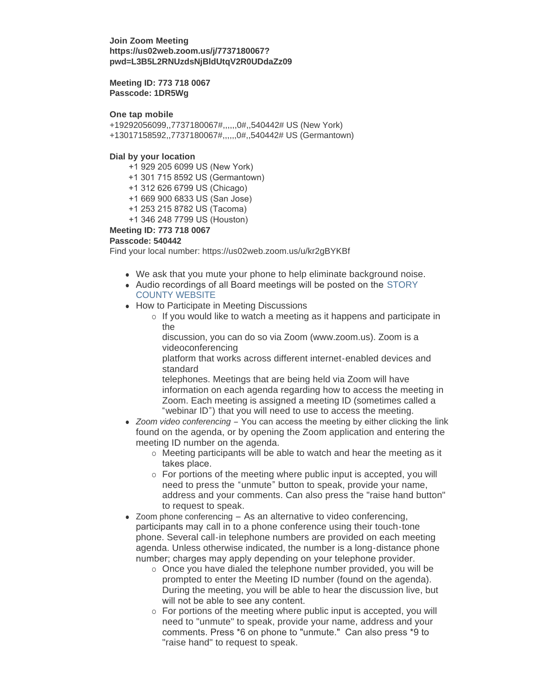**Join Zoom Meeting https://us02web.zoom.us/j/7737180067? pwd=L3B5L2RNUzdsNjBldUtqV2R0UDdaZz09**

**Meeting ID: 773 718 0067 Passcode: 1DR5Wg**

#### **One tap mobile**

+19292056099,,7737180067#,,,,,,0#,,540442# US (New York) +13017158592,,7737180067#,,,,,,0#,,540442# US (Germantown)

### **Dial by your location**

- +1 929 205 6099 US (New York)
- +1 301 715 8592 US (Germantown)
- +1 312 626 6799 US (Chicago)
- +1 669 900 6833 US (San Jose)
- +1 253 215 8782 US (Tacoma)
- +1 346 248 7799 US (Houston)

## **Meeting ID: 773 718 0067**

#### **Passcode: 540442**

Find your local number: https://us02web.zoom.us/u/kr2gBYKBf

- We ask that you mute your phone to help eliminate background noise.
- Audio recordings of all Board meetings will be posted on the STORY COUNTY WEBSITE
- How to Participate in Meeting Discussions
	- $\circ$  If you would like to watch a meeting as it happens and participate in the

discussion, you can do so via Zoom (www.zoom.us). Zoom is a videoconferencing

platform that works across different internet-enabled devices and standard

telephones. Meetings that are being held via Zoom will have information on each agenda regarding how to access the meeting in Zoom. Each meeting is assigned a meeting ID (sometimes called a "webinar ID") that you will need to use to access the meeting.

- *Zoom video conferencing* You can access the meeting by either clicking the link found on the agenda, or by opening the Zoom application and entering the meeting ID number on the agenda.
	- $\circ$  Meeting participants will be able to watch and hear the meeting as it takes place.
	- o For portions of the meeting where public input is accepted, you will need to press the "unmute" button to speak, provide your name, address and your comments. Can also press the "raise hand button" to request to speak.
- $\bullet$  Zoom phone conferencing As an alternative to video conferencing, participants may call in to a phone conference using their touch-tone phone. Several call-in telephone numbers are provided on each meeting agenda. Unless otherwise indicated, the number is a long-distance phone number; charges may apply depending on your telephone provider.
	- $\circ$  Once you have dialed the telephone number provided, you will be prompted to enter the Meeting ID number (found on the agenda). During the meeting, you will be able to hear the discussion live, but will not be able to see any content.
	- o For portions of the meeting where public input is accepted, you will need to "unmute" to speak, provide your name, address and your comments. Press \*6 on phone to "unmute." Can also press \*9 to "raise hand" to request to speak.